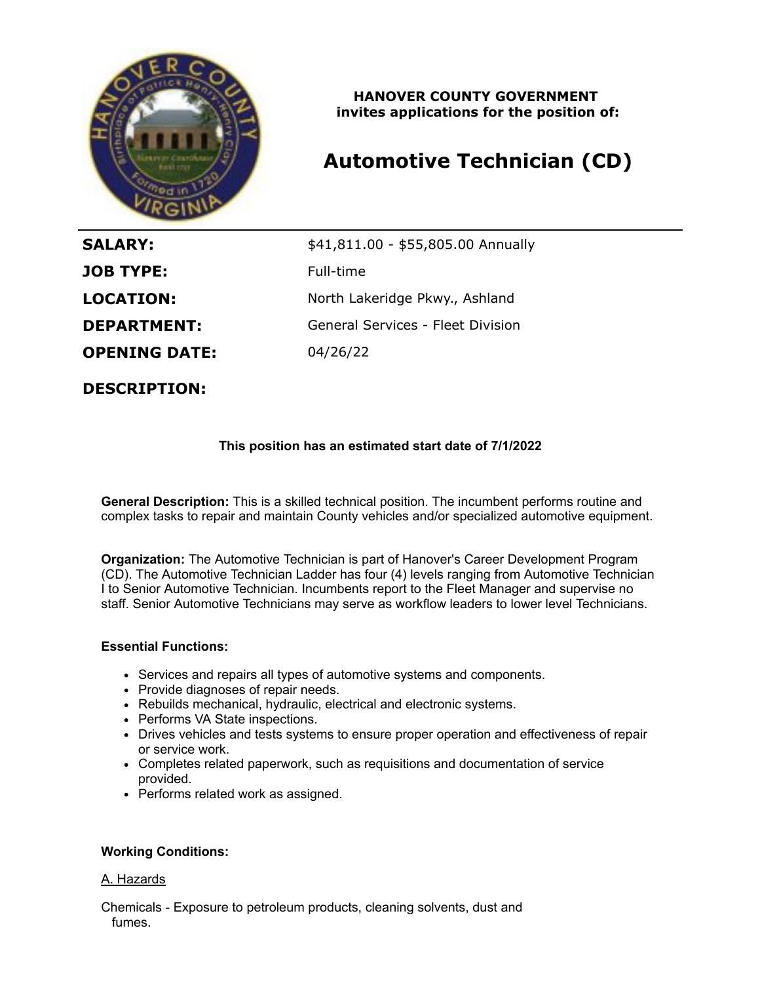

## **HANOVER COUNTY GOVERNMENT invites applications for the position of:**

# **Automotive Technician (CD)**

**JOB TYPE:** Full-time **OPENING DATE:** 04/26/22

**SALARY:**  $$41,811.00 - $55,805.00$  Annually **LOCATION:** North Lakeridge Pkwy., Ashland **DEPARTMENT:** General Services - Fleet Division

**DESCRIPTION:**

# **This position has an estimated start date of 7/1/2022**

**General Description:** This is a skilled technical position. The incumbent performs routine and complex tasks to repair and maintain County vehicles and/or specialized automotive equipment.

**Organization:** The Automotive Technician is part of Hanover's Career Development Program (CD). The Automotive Technician Ladder has four (4) levels ranging from Automotive Technician I to Senior Automotive Technician. Incumbents report to the Fleet Manager and supervise no staff. Senior Automotive Technicians may serve as workflow leaders to lower level Technicians.

#### **Essential Functions:**

- Services and repairs all types of automotive systems and components.
- Provide diagnoses of repair needs.
- Rebuilds mechanical, hydraulic, electrical and electronic systems.
- Performs VA State inspections.
- Drives vehicles and tests systems to ensure proper operation and effectiveness of repair or service work.
- Completes related paperwork, such as requisitions and documentation of service provided.
- Performs related work as assigned.

#### **Working Conditions:**

#### A. Hazards

Chemicals - Exposure to petroleum products, cleaning solvents, dust and fumes.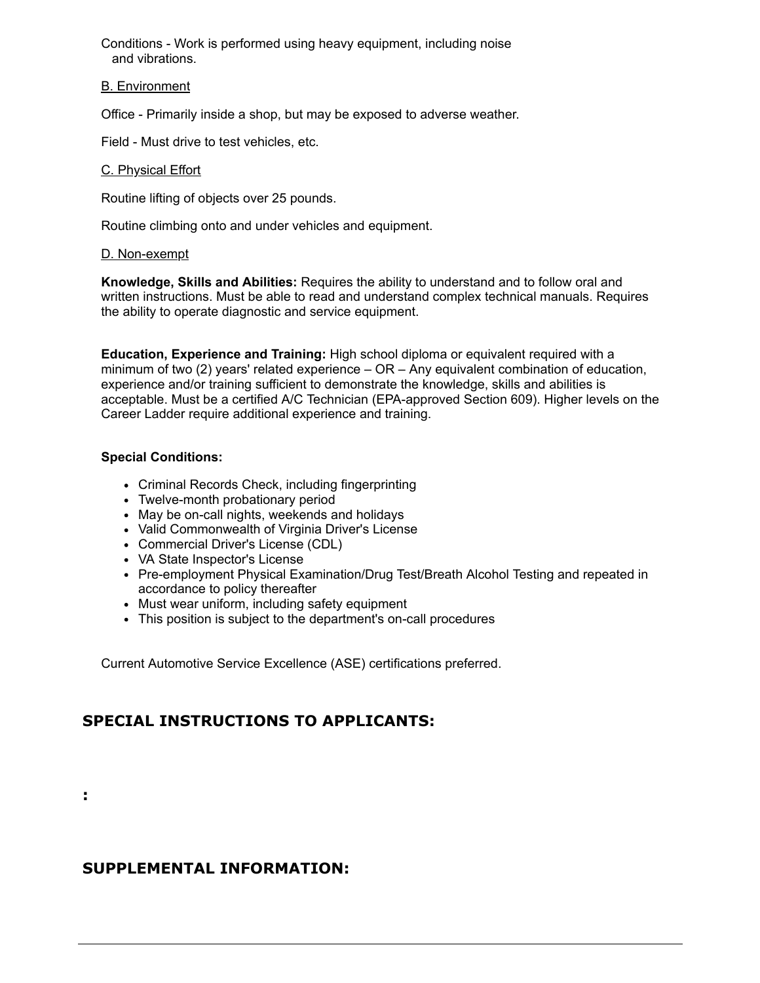Conditions - Work is performed using heavy equipment, including noise and vibrations.

#### B. Environment

Office - Primarily inside a shop, but may be exposed to adverse weather.

Field - Must drive to test vehicles, etc.

#### C. Physical Effort

Routine lifting of objects over 25 pounds.

Routine climbing onto and under vehicles and equipment.

#### D. Non-exempt

**Knowledge, Skills and Abilities:** Requires the ability to understand and to follow oral and written instructions. Must be able to read and understand complex technical manuals. Requires the ability to operate diagnostic and service equipment.

**Education, Experience and Training:** High school diploma or equivalent required with a minimum of two (2) years' related experience – OR – Any equivalent combination of education, experience and/or training sufficient to demonstrate the knowledge, skills and abilities is acceptable. Must be a certified A/C Technician (EPA-approved Section 609). Higher levels on the Career Ladder require additional experience and training.

#### **Special Conditions:**

- Criminal Records Check, including fingerprinting
- Twelve-month probationary period
- May be on-call nights, weekends and holidays
- Valid Commonwealth of Virginia Driver's License
- Commercial Driver's License (CDL)
- VA State Inspector's License
- Pre-employment Physical Examination/Drug Test/Breath Alcohol Testing and repeated in accordance to policy thereafter
- Must wear uniform, including safety equipment
- This position is subject to the department's on-call procedures

Current Automotive Service Excellence (ASE) certifications preferred.

# **SPECIAL INSTRUCTIONS TO APPLICANTS:**

**:**

# **SUPPLEMENTAL INFORMATION:**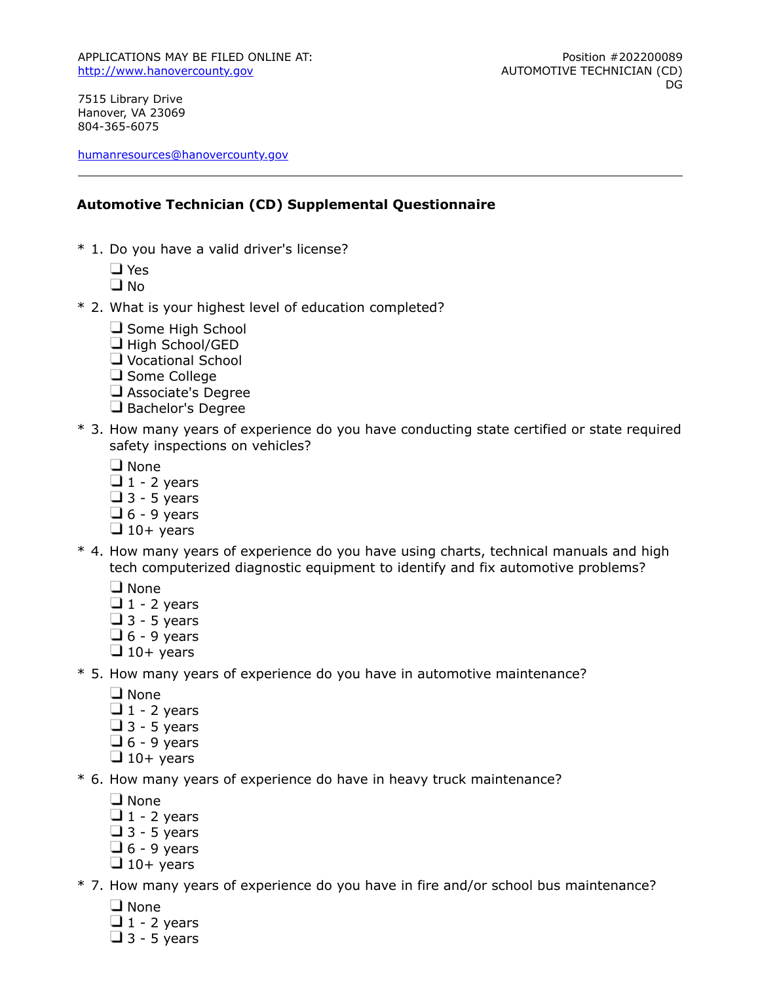7515 Library Drive Hanover, VA 23069 804-365-6075

[humanresources@hanovercounty.gov](mailto:humanresources@hanovercounty.gov)

### **Automotive Technician (CD) Supplemental Questionnaire**

- \* 1. Do you have a valid driver's license?
	- □ Yes
	- $\Box$  No
- \* 2. What is your highest level of education completed?
	- $\Box$  Some High School
	- $\Box$  High School/GED
	- **J** Vocational School
	- Some College
	- Associate's Degree
	- $\Box$  Bachelor's Degree
- \* 3. How many years of experience do you have conducting state certified or state required safety inspections on vehicles?
	- $\Box$  None
	- $\Box$  1 2 years
	- $\Box$  3 5 years
	- $\Box$  6 9 years
	- $\Box$  10+ years
- \* 4. How many years of experience do you have using charts, technical manuals and high tech computerized diagnostic equipment to identify and fix automotive problems?
	- $\Box$  None
	- $\Box$  1 2 years
	- $\Box$  3 5 years
	- $\Box$  6 9 years
	- $\Box$  10+ years
- \* 5. How many years of experience do you have in automotive maintenance?
	- $\Box$  None
	- $\Box$  1 2 years
	- $\Box$  3 5 years
	- $\Box$  6 9 years
	- $\Box$  10+ years
- \* 6. How many years of experience do have in heavy truck maintenance?
	- $\Box$  None
	- $\Box$  1 2 years
	- $\Box$  3 5 years
	- $\Box$  6 9 years
	- $\Box$  10+ years

\* 7. How many years of experience do you have in fire and/or school bus maintenance?

- $\Box$  None
- $\Box$  1 2 years
- $\Box$  3 5 years